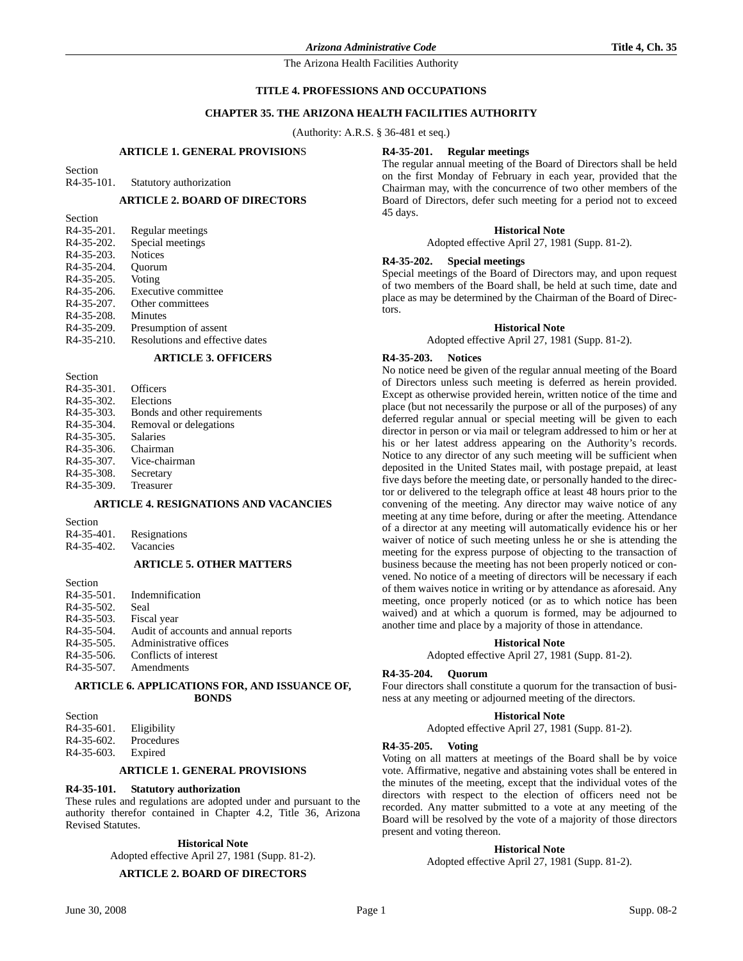### **TITLE 4. PROFESSIONS AND OCCUPATIONS**

### **CHAPTER 35. THE ARIZONA HEALTH FACILITIES AUTHORITY**

(Authority: A.R.S. § 36-481 et seq.)

### **ARTICLE 1. GENERAL PROVISION**S

Section

R4-35-101. Statutory authorization

### **ARTICLE 2. BOARD OF DIRECTORS**

| Section                 |                                 |
|-------------------------|---------------------------------|
| R <sub>4</sub> -35-201. | Regular meetings                |
| R <sub>4</sub> -35-202. | Special meetings                |
| R <sub>4</sub> -35-203. | <b>Notices</b>                  |
| R <sub>4</sub> -35-204. | Ouorum                          |
| R <sub>4</sub> -35-205. | Voting                          |
| $R4-35-206$ .           | Executive committee             |
| R <sub>4</sub> -35-207. | Other committees                |
| R <sub>4</sub> -35-208. | Minutes                         |
| R <sub>4</sub> -35-209. | Presumption of assent           |
| $R4-35-210$ .           | Resolutions and effective dates |
|                         |                                 |

#### **ARTICLE 3. OFFICERS**

| Officers                     |
|------------------------------|
| Elections                    |
| Bonds and other requirements |
| Removal or delegations       |
| <b>Salaries</b>              |
| Chairman                     |
| Vice-chairman                |
| Secretary                    |
| Treasurer                    |
|                              |

### **ARTICLE 4. RESIGNATIONS AND VACANCIES**

Section<br>R4-35-401

| R <sub>4</sub> -35-401. | Resignations |
|-------------------------|--------------|
| R <sub>4</sub> -35-402. | Vacancies    |

# **ARTICLE 5. OTHER MATTERS**

Section R4-35-501. Indemnification R4-35-502. Seal<br>R4-35-503. Fisca Fiscal year R4-35-504. Audit of accounts and annual reports R4-35-505. Administrative offices<br>R4-35-506. Conflicts of interest Conflicts of interest R4-35-507. Amendments

### **ARTICLE 6. APPLICATIONS FOR, AND ISSUANCE OF, BONDS**

| Section       |             |
|---------------|-------------|
| $R4-35-601$ . | Eligibility |
| $R4-35-602$ . | Procedures  |
| R4-35-603.    | Expired     |

### **ARTICLE 1. GENERAL PROVISIONS**

### **R4-35-101. Statutory authorization**

These rules and regulations are adopted under and pursuant to the authority therefor contained in Chapter 4.2, Title 36, Arizona Revised Statutes.

#### **Historical Note**

Adopted effective April 27, 1981 (Supp. 81-2).

# **ARTICLE 2. BOARD OF DIRECTORS**

### **R4-35-201. Regular meetings**

The regular annual meeting of the Board of Directors shall be held on the first Monday of February in each year, provided that the Chairman may, with the concurrence of two other members of the Board of Directors, defer such meeting for a period not to exceed 45 days.

#### **Historical Note**

Adopted effective April 27, 1981 (Supp. 81-2).

### **R4-35-202. Special meetings**

Special meetings of the Board of Directors may, and upon request of two members of the Board shall, be held at such time, date and place as may be determined by the Chairman of the Board of Directors.

### **Historical Note**

Adopted effective April 27, 1981 (Supp. 81-2).

#### **R4-35-203. Notices**

No notice need be given of the regular annual meeting of the Board of Directors unless such meeting is deferred as herein provided. Except as otherwise provided herein, written notice of the time and place (but not necessarily the purpose or all of the purposes) of any deferred regular annual or special meeting will be given to each director in person or via mail or telegram addressed to him or her at his or her latest address appearing on the Authority's records. Notice to any director of any such meeting will be sufficient when deposited in the United States mail, with postage prepaid, at least five days before the meeting date, or personally handed to the director or delivered to the telegraph office at least 48 hours prior to the convening of the meeting. Any director may waive notice of any meeting at any time before, during or after the meeting. Attendance of a director at any meeting will automatically evidence his or her waiver of notice of such meeting unless he or she is attending the meeting for the express purpose of objecting to the transaction of business because the meeting has not been properly noticed or convened. No notice of a meeting of directors will be necessary if each of them waives notice in writing or by attendance as aforesaid. Any meeting, once properly noticed (or as to which notice has been waived) and at which a quorum is formed, may be adjourned to another time and place by a majority of those in attendance.

# Adopted effective April 27, 1981 (Supp. 81-2).

#### **R4-35-204. Quorum**

Four directors shall constitute a quorum for the transaction of business at any meeting or adjourned meeting of the directors.

**Historical Note**

#### **Historical Note**

Adopted effective April 27, 1981 (Supp. 81-2).

### **R4-35-205. Voting**

Voting on all matters at meetings of the Board shall be by voice vote. Affirmative, negative and abstaining votes shall be entered in the minutes of the meeting, except that the individual votes of the directors with respect to the election of officers need not be recorded. Any matter submitted to a vote at any meeting of the Board will be resolved by the vote of a majority of those directors present and voting thereon.

### **Historical Note**

Adopted effective April 27, 1981 (Supp. 81-2).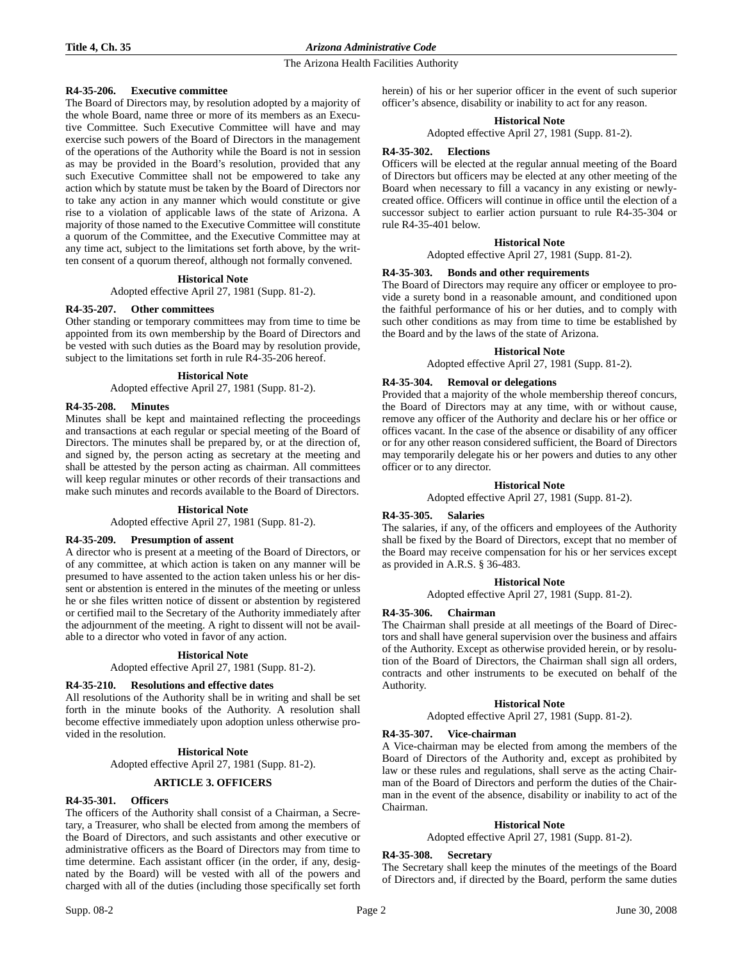### **R4-35-206. Executive committee**

The Board of Directors may, by resolution adopted by a majority of the whole Board, name three or more of its members as an Executive Committee. Such Executive Committee will have and may exercise such powers of the Board of Directors in the management of the operations of the Authority while the Board is not in session as may be provided in the Board's resolution, provided that any such Executive Committee shall not be empowered to take any action which by statute must be taken by the Board of Directors nor to take any action in any manner which would constitute or give rise to a violation of applicable laws of the state of Arizona. A majority of those named to the Executive Committee will constitute a quorum of the Committee, and the Executive Committee may at any time act, subject to the limitations set forth above, by the written consent of a quorum thereof, although not formally convened.

### **Historical Note**

Adopted effective April 27, 1981 (Supp. 81-2).

#### **R4-35-207. Other committees**

Other standing or temporary committees may from time to time be appointed from its own membership by the Board of Directors and be vested with such duties as the Board may by resolution provide, subject to the limitations set forth in rule R4-35-206 hereof.

#### **Historical Note**

Adopted effective April 27, 1981 (Supp. 81-2).

### **R4-35-208. Minutes**

Minutes shall be kept and maintained reflecting the proceedings and transactions at each regular or special meeting of the Board of Directors. The minutes shall be prepared by, or at the direction of, and signed by, the person acting as secretary at the meeting and shall be attested by the person acting as chairman. All committees will keep regular minutes or other records of their transactions and make such minutes and records available to the Board of Directors.

#### **Historical Note**

Adopted effective April 27, 1981 (Supp. 81-2).

### **R4-35-209. Presumption of assent**

A director who is present at a meeting of the Board of Directors, or of any committee, at which action is taken on any manner will be presumed to have assented to the action taken unless his or her dissent or abstention is entered in the minutes of the meeting or unless he or she files written notice of dissent or abstention by registered or certified mail to the Secretary of the Authority immediately after the adjournment of the meeting. A right to dissent will not be available to a director who voted in favor of any action.

#### **Historical Note**

Adopted effective April 27, 1981 (Supp. 81-2).

#### **R4-35-210. Resolutions and effective dates**

All resolutions of the Authority shall be in writing and shall be set forth in the minute books of the Authority. A resolution shall become effective immediately upon adoption unless otherwise provided in the resolution.

#### **Historical Note**

Adopted effective April 27, 1981 (Supp. 81-2).

### **ARTICLE 3. OFFICERS**

### **R4-35-301. Officers**

The officers of the Authority shall consist of a Chairman, a Secretary, a Treasurer, who shall be elected from among the members of the Board of Directors, and such assistants and other executive or administrative officers as the Board of Directors may from time to time determine. Each assistant officer (in the order, if any, designated by the Board) will be vested with all of the powers and charged with all of the duties (including those specifically set forth herein) of his or her superior officer in the event of such superior officer's absence, disability or inability to act for any reason.

# **Historical Note**

Adopted effective April 27, 1981 (Supp. 81-2).

#### **R4-35-302. Elections**

Officers will be elected at the regular annual meeting of the Board of Directors but officers may be elected at any other meeting of the Board when necessary to fill a vacancy in any existing or newlycreated office. Officers will continue in office until the election of a successor subject to earlier action pursuant to rule R4-35-304 or rule R4-35-401 below.

#### **Historical Note**

Adopted effective April 27, 1981 (Supp. 81-2).

# **R4-35-303. Bonds and other requirements**

The Board of Directors may require any officer or employee to provide a surety bond in a reasonable amount, and conditioned upon the faithful performance of his or her duties, and to comply with such other conditions as may from time to time be established by the Board and by the laws of the state of Arizona.

### **Historical Note**

Adopted effective April 27, 1981 (Supp. 81-2).

### **R4-35-304. Removal or delegations**

Provided that a majority of the whole membership thereof concurs, the Board of Directors may at any time, with or without cause, remove any officer of the Authority and declare his or her office or offices vacant. In the case of the absence or disability of any officer or for any other reason considered sufficient, the Board of Directors may temporarily delegate his or her powers and duties to any other officer or to any director.

### **Historical Note**

Adopted effective April 27, 1981 (Supp. 81-2).

#### **R4-35-305. Salaries**

The salaries, if any, of the officers and employees of the Authority shall be fixed by the Board of Directors, except that no member of the Board may receive compensation for his or her services except as provided in A.R.S. § 36-483.

#### **Historical Note**

Adopted effective April 27, 1981 (Supp. 81-2).

#### **R4-35-306. Chairman**

The Chairman shall preside at all meetings of the Board of Directors and shall have general supervision over the business and affairs of the Authority. Except as otherwise provided herein, or by resolution of the Board of Directors, the Chairman shall sign all orders, contracts and other instruments to be executed on behalf of the Authority.

### **Historical Note**

Adopted effective April 27, 1981 (Supp. 81-2).

#### **R4-35-307. Vice-chairman**

A Vice-chairman may be elected from among the members of the Board of Directors of the Authority and, except as prohibited by law or these rules and regulations, shall serve as the acting Chairman of the Board of Directors and perform the duties of the Chairman in the event of the absence, disability or inability to act of the Chairman.

#### **Historical Note**

Adopted effective April 27, 1981 (Supp. 81-2).

#### **R4-35-308. Secretary**

The Secretary shall keep the minutes of the meetings of the Board of Directors and, if directed by the Board, perform the same duties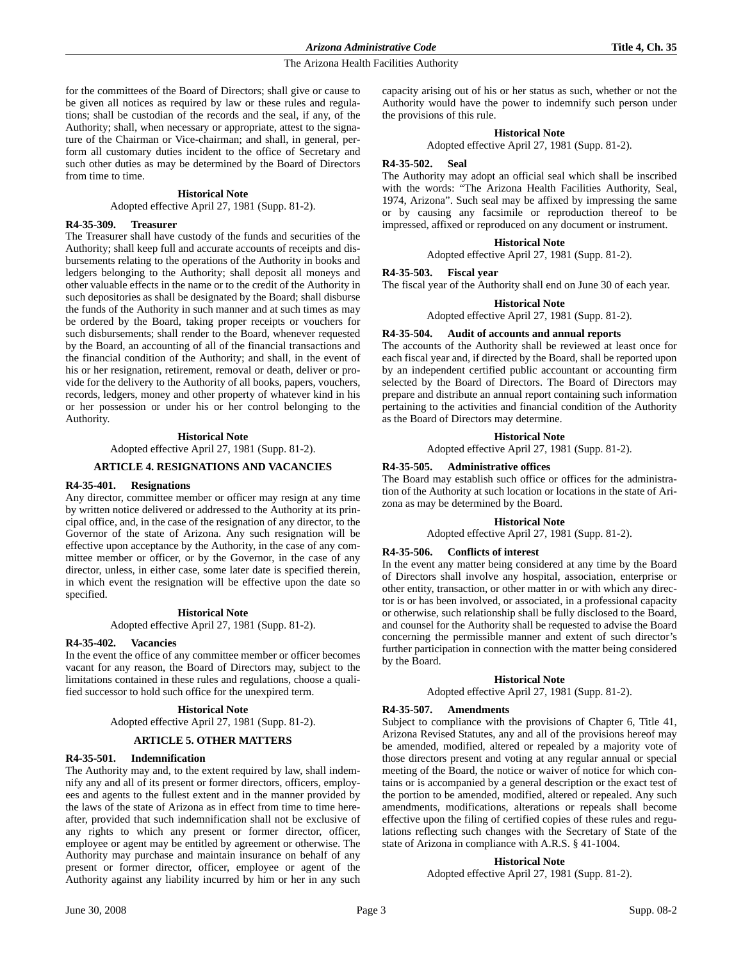for the committees of the Board of Directors; shall give or cause to be given all notices as required by law or these rules and regulations; shall be custodian of the records and the seal, if any, of the Authority; shall, when necessary or appropriate, attest to the signature of the Chairman or Vice-chairman; and shall, in general, perform all customary duties incident to the office of Secretary and such other duties as may be determined by the Board of Directors from time to time.

### **Historical Note**

Adopted effective April 27, 1981 (Supp. 81-2).

#### **R4-35-309. Treasurer**

The Treasurer shall have custody of the funds and securities of the Authority; shall keep full and accurate accounts of receipts and disbursements relating to the operations of the Authority in books and ledgers belonging to the Authority; shall deposit all moneys and other valuable effects in the name or to the credit of the Authority in such depositories as shall be designated by the Board; shall disburse the funds of the Authority in such manner and at such times as may be ordered by the Board, taking proper receipts or vouchers for such disbursements; shall render to the Board, whenever requested by the Board, an accounting of all of the financial transactions and the financial condition of the Authority; and shall, in the event of his or her resignation, retirement, removal or death, deliver or provide for the delivery to the Authority of all books, papers, vouchers, records, ledgers, money and other property of whatever kind in his or her possession or under his or her control belonging to the Authority.

#### **Historical Note**

Adopted effective April 27, 1981 (Supp. 81-2).

### **ARTICLE 4. RESIGNATIONS AND VACANCIES**

### **R4-35-401. Resignations**

Any director, committee member or officer may resign at any time by written notice delivered or addressed to the Authority at its principal office, and, in the case of the resignation of any director, to the Governor of the state of Arizona. Any such resignation will be effective upon acceptance by the Authority, in the case of any committee member or officer, or by the Governor, in the case of any director, unless, in either case, some later date is specified therein, in which event the resignation will be effective upon the date so specified.

### **Historical Note**

Adopted effective April 27, 1981 (Supp. 81-2).

#### **R4-35-402. Vacancies**

In the event the office of any committee member or officer becomes vacant for any reason, the Board of Directors may, subject to the limitations contained in these rules and regulations, choose a qualified successor to hold such office for the unexpired term.

#### **Historical Note**

Adopted effective April 27, 1981 (Supp. 81-2).

### **ARTICLE 5. OTHER MATTERS**

#### **R4-35-501. Indemnification**

The Authority may and, to the extent required by law, shall indemnify any and all of its present or former directors, officers, employees and agents to the fullest extent and in the manner provided by the laws of the state of Arizona as in effect from time to time hereafter, provided that such indemnification shall not be exclusive of any rights to which any present or former director, officer, employee or agent may be entitled by agreement or otherwise. The Authority may purchase and maintain insurance on behalf of any present or former director, officer, employee or agent of the Authority against any liability incurred by him or her in any such

capacity arising out of his or her status as such, whether or not the Authority would have the power to indemnify such person under the provisions of this rule.

#### **Historical Note**

Adopted effective April 27, 1981 (Supp. 81-2).

#### **R4-35-502. Seal**

The Authority may adopt an official seal which shall be inscribed with the words: "The Arizona Health Facilities Authority, Seal, 1974, Arizona". Such seal may be affixed by impressing the same or by causing any facsimile or reproduction thereof to be impressed, affixed or reproduced on any document or instrument.

# **Historical Note**

Adopted effective April 27, 1981 (Supp. 81-2).

# **R4-35-503. Fiscal year**

The fiscal year of the Authority shall end on June 30 of each year.

**Historical Note**

Adopted effective April 27, 1981 (Supp. 81-2).

#### **R4-35-504. Audit of accounts and annual reports**

The accounts of the Authority shall be reviewed at least once for each fiscal year and, if directed by the Board, shall be reported upon by an independent certified public accountant or accounting firm selected by the Board of Directors. The Board of Directors may prepare and distribute an annual report containing such information pertaining to the activities and financial condition of the Authority as the Board of Directors may determine.

#### **Historical Note**

Adopted effective April 27, 1981 (Supp. 81-2).

#### **R4-35-505. Administrative offices**

The Board may establish such office or offices for the administration of the Authority at such location or locations in the state of Arizona as may be determined by the Board.

#### **Historical Note**

Adopted effective April 27, 1981 (Supp. 81-2).

# **R4-35-506. Conflicts of interest**

In the event any matter being considered at any time by the Board of Directors shall involve any hospital, association, enterprise or other entity, transaction, or other matter in or with which any director is or has been involved, or associated, in a professional capacity or otherwise, such relationship shall be fully disclosed to the Board, and counsel for the Authority shall be requested to advise the Board concerning the permissible manner and extent of such director's further participation in connection with the matter being considered by the Board.

#### **Historical Note**

Adopted effective April 27, 1981 (Supp. 81-2).

### **R4-35-507. Amendments**

Subject to compliance with the provisions of Chapter 6, Title 41, Arizona Revised Statutes, any and all of the provisions hereof may be amended, modified, altered or repealed by a majority vote of those directors present and voting at any regular annual or special meeting of the Board, the notice or waiver of notice for which contains or is accompanied by a general description or the exact test of the portion to be amended, modified, altered or repealed. Any such amendments, modifications, alterations or repeals shall become effective upon the filing of certified copies of these rules and regulations reflecting such changes with the Secretary of State of the state of Arizona in compliance with A.R.S. § 41-1004.

#### **Historical Note**

Adopted effective April 27, 1981 (Supp. 81-2).